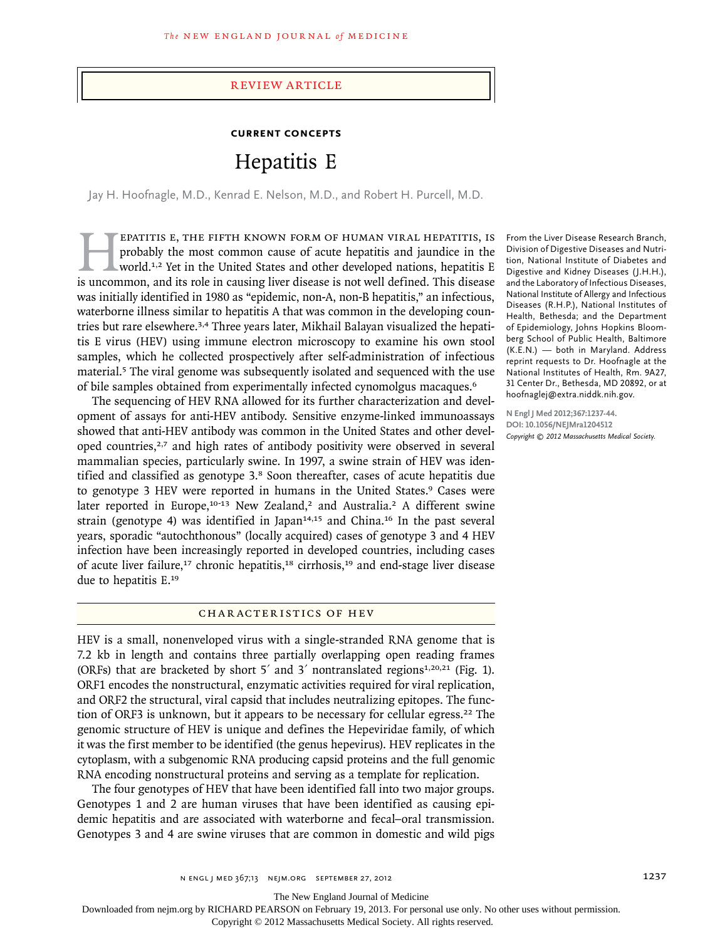### review article

# **Current Concepts**

# Hepatitis E

Jay H. Hoofnagle, M.D., Kenrad E. Nelson, M.D., and Robert H. Purcell, M.D.

**EPATITIS E, THE FIFTH KNOWN FORM OF HUMAN VIRAL HEPATITIS, IS** probably the most common cause of acute hepatitis and jaundice in the world.<sup>1,2</sup> Yet in the United States and other developed nations, hepatitis E is uncommo probably the most common cause of acute hepatitis and jaundice in the world.<sup>1,2</sup> Yet in the United States and other developed nations, hepatitis E is uncommon, and its role in causing liver disease is not well defined. This disease was initially identified in 1980 as "epidemic, non-A, non-B hepatitis," an infectious, waterborne illness similar to hepatitis A that was common in the developing countries but rare elsewhere.<sup>3,4</sup> Three years later, Mikhail Balayan visualized the hepatitis E virus (HEV) using immune electron microscopy to examine his own stool samples, which he collected prospectively after self-administration of infectious material.5 The viral genome was subsequently isolated and sequenced with the use of bile samples obtained from experimentally infected cynomolgus macaques.<sup>6</sup>

The sequencing of HEV RNA allowed for its further characterization and development of assays for anti-HEV antibody. Sensitive enzyme-linked immunoassays showed that anti-HEV antibody was common in the United States and other developed countries,<sup>2,7</sup> and high rates of antibody positivity were observed in several mammalian species, particularly swine. In 1997, a swine strain of HEV was identified and classified as genotype 3.8 Soon thereafter, cases of acute hepatitis due to genotype 3 HEV were reported in humans in the United States.<sup>9</sup> Cases were later reported in Europe,<sup>10-13</sup> New Zealand,<sup>2</sup> and Australia.<sup>2</sup> A different swine strain (genotype 4) was identified in Japan<sup>14,15</sup> and China.<sup>16</sup> In the past several years, sporadic "autochthonous" (locally acquired) cases of genotype 3 and 4 HEV infection have been increasingly reported in developed countries, including cases of acute liver failure,<sup>17</sup> chronic hepatitis,<sup>18</sup> cirrhosis,<sup>19</sup> and end-stage liver disease due to hepatitis E.<sup>19</sup>

# CHARACTERISTICS OF HEV

HEV is a small, nonenveloped virus with a single-stranded RNA genome that is 7.2 kb in length and contains three partially overlapping open reading frames (ORFs) that are bracketed by short  $5'$  and  $3'$  nontranslated regions<sup>1,20,21</sup> (Fig. 1). ORF1 encodes the nonstructural, enzymatic activities required for viral replication, and ORF2 the structural, viral capsid that includes neutralizing epitopes. The function of ORF3 is unknown, but it appears to be necessary for cellular egress.<sup>22</sup> The genomic structure of HEV is unique and defines the Hepeviridae family, of which it was the first member to be identified (the genus hepevirus). HEV replicates in the cytoplasm, with a subgenomic RNA producing capsid proteins and the full genomic RNA encoding nonstructural proteins and serving as a template for replication.

The four genotypes of HEV that have been identified fall into two major groups. Genotypes 1 and 2 are human viruses that have been identified as causing epidemic hepatitis and are associated with waterborne and fecal–oral transmission. Genotypes 3 and 4 are swine viruses that are common in domestic and wild pigs

From the Liver Disease Research Branch, Division of Digestive Diseases and Nutrition, National Institute of Diabetes and Digestive and Kidney Diseases (J.H.H.), and the Laboratory of Infectious Diseases, National Institute of Allergy and Infectious Diseases (R.H.P.), National Institutes of Health, Bethesda; and the Department of Epidemiology, Johns Hopkins Bloomberg School of Public Health, Baltimore (K.E.N.) — both in Maryland. Address reprint requests to Dr. Hoofnagle at the National Institutes of Health, Rm. 9A27, 31 Center Dr., Bethesda, MD 20892, or at hoofnaglej@extra.niddk.nih.gov.

**N Engl J Med 2012;367:1237-44. DOI: 10.1056/NEJMra1204512** *Copyright © 2012 Massachusetts Medical Society.*

The New England Journal of Medicine

Downloaded from nejm.org by RICHARD PEARSON on February 19, 2013. For personal use only. No other uses without permission.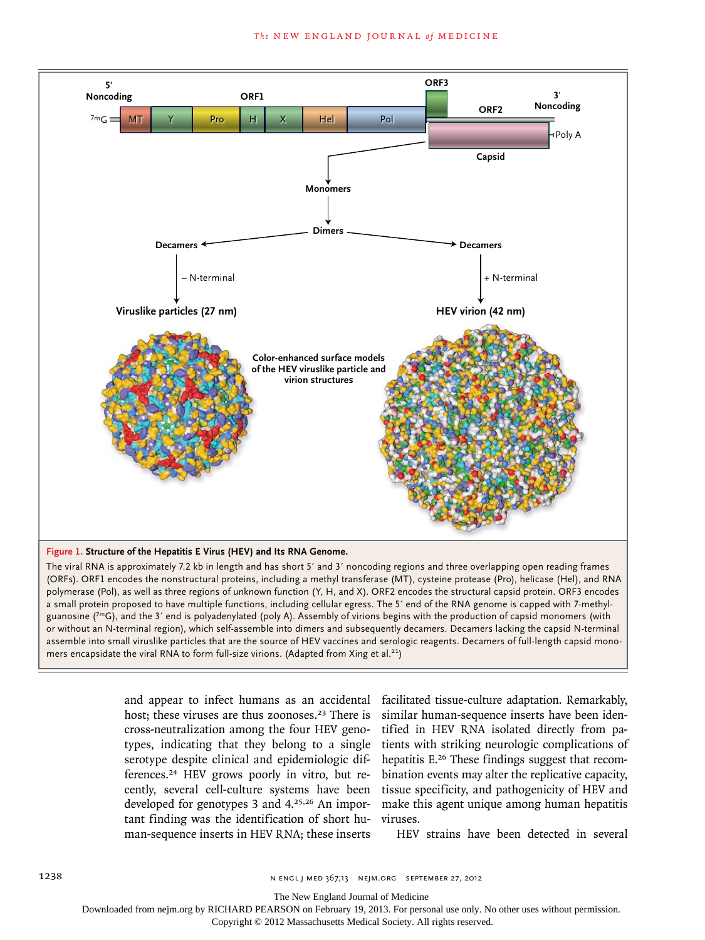

The viral RNA is approximately 7.2 kb in length and has short 5′ and 3′ noncoding regions and three overlapping open reading frames (ORFs). ORF1 encodes the nonstructural proteins, including a methyl transferase (MT), cysteine protease (Pro), helicase (Hel), and RNA polymerase (Pol), as well as three regions of unknown function (Y, H, and X). ORF2 encodes the structural capsid protein. ORF3 encodes a small protein proposed to have multiple functions, including cellular egress. The 5′ end of the RNA genome is capped with 7-methylguanosine  $(7 \text{mG})$ , and the 3' end is polyadenylated (poly A). Assembly of virions begins with the production of capsid monomers (with or without an N-terminal region), which self-assemble into dimers and subsequently decamers. Decamers lacking the capsid N-terminal assemble into small viruslike particles that are the source of HEV vaccines and serologic reagents. Decamers of full-length capsid monomers encapsidate the viral RNA to form full-size virions. (Adapted from Xing et al.<sup>21</sup>)

> and appear to infect humans as an accidental host; these viruses are thus zoonoses.<sup>23</sup> There is cross-neutralization among the four HEV genotypes, indicating that they belong to a single serotype despite clinical and epidemiologic differences.24 HEV grows poorly in vitro, but recently, several cell-culture systems have been developed for genotypes 3 and 4.25,26 An important finding was the identification of short human-sequence inserts in HEV RNA; these inserts

facilitated tissue-culture adaptation. Remarkably, similar human-sequence inserts have been identified in HEV RNA isolated directly from patients with striking neurologic complications of hepatitis E.26 These findings suggest that recombination events may alter the replicative capacity, tissue specificity, and pathogenicity of HEV and make this agent unique among human hepatitis viruses.

HEV strains have been detected in several

The New England Journal of Medicine

Downloaded from nejm.org by RICHARD PEARSON on February 19, 2013. For personal use only. No other uses without permission.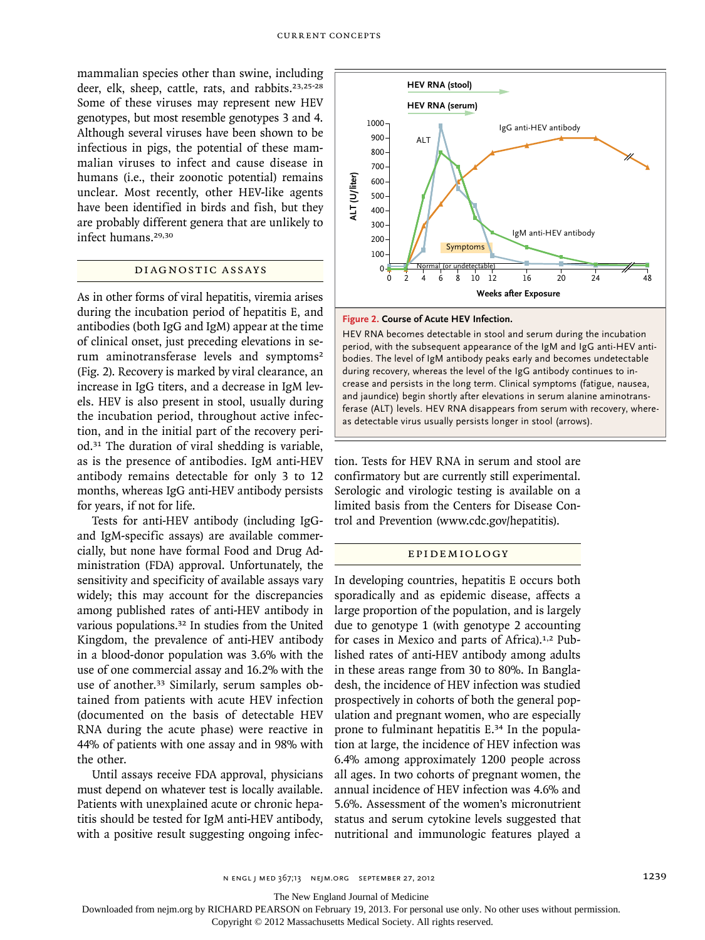mammalian species other than swine, including deer, elk, sheep, cattle, rats, and rabbits.<sup>23,25-28</sup> Some of these viruses may represent new HEV genotypes, but most resemble genotypes 3 and 4. Although several viruses have been shown to be infectious in pigs, the potential of these mammalian viruses to infect and cause disease in humans (i.e., their zoonotic potential) remains unclear. Most recently, other HEV-like agents have been identified in birds and fish, but they are probably different genera that are unlikely to infect humans.<sup>29,30</sup>

# DIAGNOSTIC ASSAYS

As in other forms of viral hepatitis, viremia arises during the incubation period of hepatitis E, and antibodies (both IgG and IgM) appear at the time of clinical onset, just preceding elevations in serum aminotransferase levels and symptoms<sup>2</sup> (Fig. 2). Recovery is marked by viral clearance, an increase in IgG titers, and a decrease in IgM levels. HEV is also present in stool, usually during the incubation period, throughout active infection, and in the initial part of the recovery period.31 The duration of viral shedding is variable, as is the presence of antibodies. IgM anti-HEV antibody remains detectable for only 3 to 12 months, whereas IgG anti-HEV antibody persists for years, if not for life.

Tests for anti-HEV antibody (including IgGand IgM-specific assays) are available commercially, but none have formal Food and Drug Administration (FDA) approval. Unfortunately, the sensitivity and specificity of available assays vary widely; this may account for the discrepancies among published rates of anti-HEV antibody in various populations.<sup>32</sup> In studies from the United Kingdom, the prevalence of anti-HEV antibody in a blood-donor population was 3.6% with the use of one commercial assay and 16.2% with the use of another.<sup>33</sup> Similarly, serum samples obtained from patients with acute HEV infection (documented on the basis of detectable HEV RNA during the acute phase) were reactive in 44% of patients with one assay and in 98% with the other.

Until assays receive FDA approval, physicians must depend on whatever test is locally available. Patients with unexplained acute or chronic hepatitis should be tested for IgM anti-HEV antibody, with a positive result suggesting ongoing infec-



#### **Figure 2. Course of Acute HEV Infection.**

HEV RNA becomes detectable in stool and serum during the incubation period, with the subsequent appearance of the IgM and IgG anti-HEV antibodies. The level of IgM antibody peaks early and becomes undetectable during recovery, whereas the level of the IgG antibody continues to increase and persists in the long term. Clinical symptoms (fatigue, nausea, and jaundice) begin shortly after elevations in serum alanine aminotransferase (ALT) levels. HEV RNA disappears from serum with recovery, whereas detectable virus usually persists longer in stool (arrows).

tion. Tests for HEV RNA in serum and stool are confirmatory but are currently still experimental. Serologic and virologic testing is available on a limited basis from the Centers for Disease Control and Prevention (www.cdc.gov/hepatitis).

## Epidemiol o gy

In developing countries, hepatitis E occurs both sporadically and as epidemic disease, affects a large proportion of the population, and is largely due to genotype 1 (with genotype 2 accounting for cases in Mexico and parts of Africa).1,2 Published rates of anti-HEV antibody among adults in these areas range from 30 to 80%. In Bangladesh, the incidence of HEV infection was studied prospectively in cohorts of both the general population and pregnant women, who are especially prone to fulminant hepatitis E.34 In the population at large, the incidence of HEV infection was 6.4% among approximately 1200 people across all ages. In two cohorts of pregnant women, the annual incidence of HEV infection was 4.6% and 5.6%. Assessment of the women's micronutrient status and serum cytokine levels suggested that number and the method of the method and increase and personal and increase and personal and increase and personal personal personal personal personal personal personal personal personal personal personal personal personal

The New England Journal of Medicine

Downloaded from nejm.org by RICHARD PEARSON on February 19, 2013. For personal use only. No other uses without permission.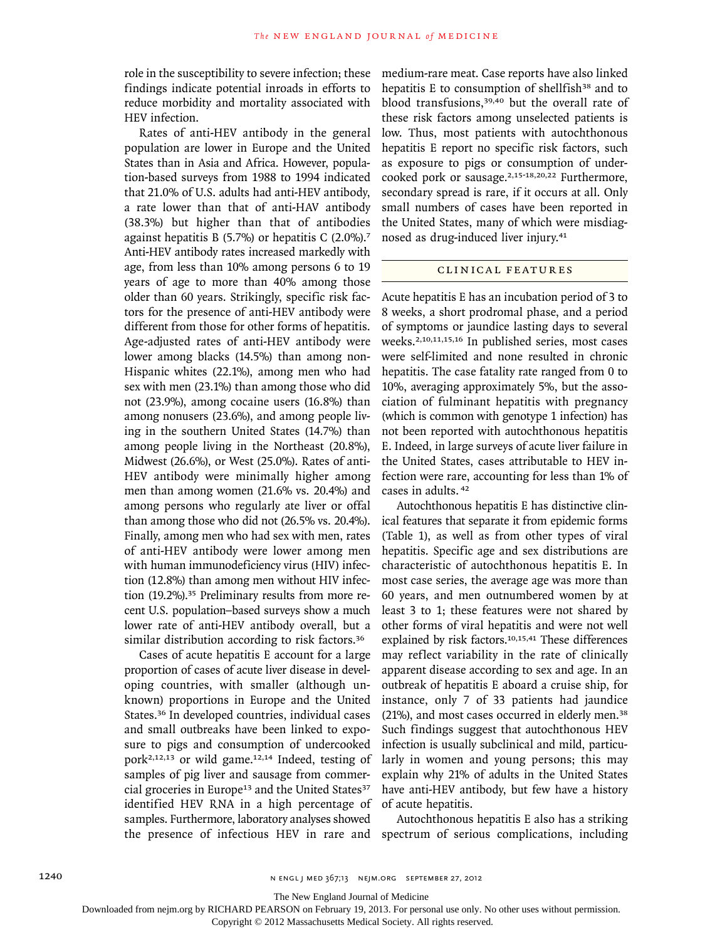role in the susceptibility to severe infection; these findings indicate potential inroads in efforts to reduce morbidity and mortality associated with HEV infection.

Rates of anti-HEV antibody in the general population are lower in Europe and the United States than in Asia and Africa. However, population-based surveys from 1988 to 1994 indicated that 21.0% of U.S. adults had anti-HEV antibody, a rate lower than that of anti-HAV antibody (38.3%) but higher than that of antibodies against hepatitis B (5.7%) or hepatitis C (2.0%).<sup>7</sup> Anti-HEV antibody rates increased markedly with age, from less than 10% among persons 6 to 19 years of age to more than 40% among those older than 60 years. Strikingly, specific risk factors for the presence of anti-HEV antibody were different from those for other forms of hepatitis. Age-adjusted rates of anti-HEV antibody were lower among blacks (14.5%) than among non-Hispanic whites (22.1%), among men who had sex with men (23.1%) than among those who did not (23.9%), among cocaine users (16.8%) than among nonusers (23.6%), and among people living in the southern United States (14.7%) than among people living in the Northeast (20.8%), Midwest (26.6%), or West (25.0%). Rates of anti-HEV antibody were minimally higher among men than among women (21.6% vs. 20.4%) and among persons who regularly ate liver or offal than among those who did not (26.5% vs. 20.4%). Finally, among men who had sex with men, rates of anti-HEV antibody were lower among men with human immunodeficiency virus (HIV) infection (12.8%) than among men without HIV infection (19.2%).<sup>35</sup> Preliminary results from more recent U.S. population–based surveys show a much lower rate of anti-HEV antibody overall, but a similar distribution according to risk factors.<sup>36</sup>

Cases of acute hepatitis E account for a large proportion of cases of acute liver disease in developing countries, with smaller (although unknown) proportions in Europe and the United States.36 In developed countries, individual cases and small outbreaks have been linked to exposure to pigs and consumption of undercooked pork2,12,13 or wild game.12,14 Indeed, testing of samples of pig liver and sausage from commercial groceries in Europe<sup>13</sup> and the United States<sup>37</sup> identified HEV RNA in a high percentage of samples. Furthermore, laboratory analyses showed the presence of infectious HEV in rare and medium-rare meat. Case reports have also linked hepatitis E to consumption of shellfish<sup>38</sup> and to blood transfusions,<sup>39,40</sup> but the overall rate of these risk factors among unselected patients is low. Thus, most patients with autochthonous hepatitis E report no specific risk factors, such as exposure to pigs or consumption of undercooked pork or sausage.2,15-18,20,22 Furthermore, secondary spread is rare, if it occurs at all. Only small numbers of cases have been reported in the United States, many of which were misdiagnosed as drug-induced liver injury.<sup>41</sup>

## Clinic a l Fe at ur es

Acute hepatitis E has an incubation period of 3 to 8 weeks, a short prodromal phase, and a period of symptoms or jaundice lasting days to several weeks.2,10,11,15,16 In published series, most cases were self-limited and none resulted in chronic hepatitis. The case fatality rate ranged from 0 to 10%, averaging approximately 5%, but the association of fulminant hepatitis with pregnancy (which is common with genotype 1 infection) has not been reported with autochthonous hepatitis E. Indeed, in large surveys of acute liver failure in the United States, cases attributable to HEV infection were rare, accounting for less than 1% of cases in adults.<sup>42</sup>

Autochthonous hepatitis E has distinctive clinical features that separate it from epidemic forms (Table 1), as well as from other types of viral hepatitis. Specific age and sex distributions are characteristic of autochthonous hepatitis E. In most case series, the average age was more than 60 years, and men outnumbered women by at least 3 to 1; these features were not shared by other forms of viral hepatitis and were not well explained by risk factors.<sup>10,15,41</sup> These differences may reflect variability in the rate of clinically apparent disease according to sex and age. In an outbreak of hepatitis E aboard a cruise ship, for instance, only 7 of 33 patients had jaundice (21%), and most cases occurred in elderly men.<sup>38</sup> Such findings suggest that autochthonous HEV infection is usually subclinical and mild, particularly in women and young persons; this may explain why 21% of adults in the United States have anti-HEV antibody, but few have a history of acute hepatitis.

Autochthonous hepatitis E also has a striking spectrum of serious complications, including

The New England Journal of Medicine

Downloaded from nejm.org by RICHARD PEARSON on February 19, 2013. For personal use only. No other uses without permission.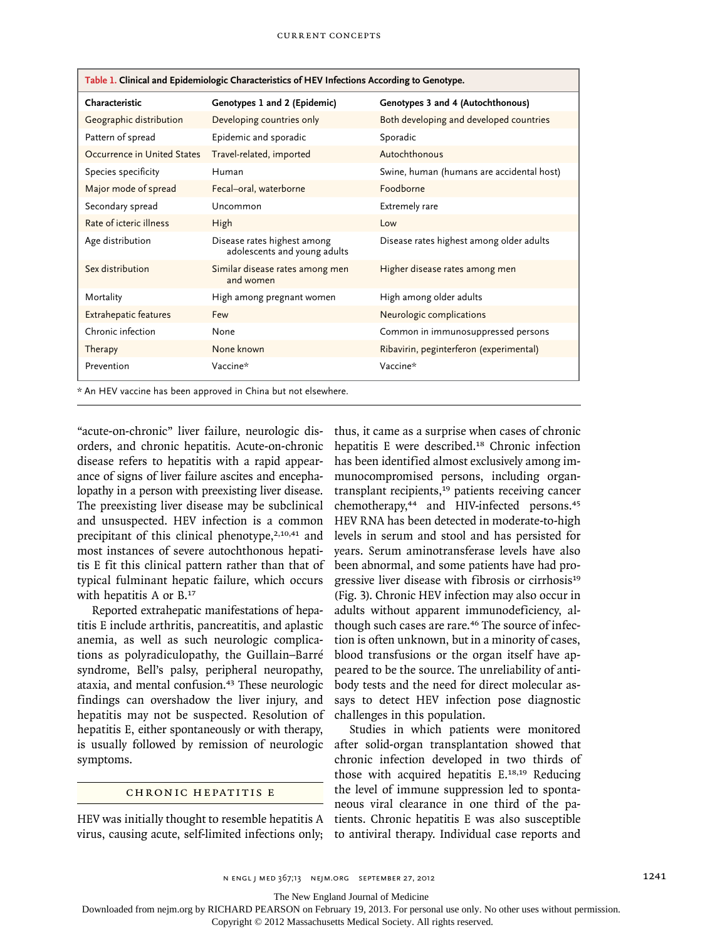| Table 1. Clinical and Epidemiologic Characteristics of HEV Infections According to Genotype. |                                                             |                                           |
|----------------------------------------------------------------------------------------------|-------------------------------------------------------------|-------------------------------------------|
| Characteristic                                                                               | Genotypes 1 and 2 (Epidemic)                                | Genotypes 3 and 4 (Autochthonous)         |
| Geographic distribution                                                                      | Developing countries only                                   | Both developing and developed countries   |
| Pattern of spread                                                                            | Epidemic and sporadic                                       | Sporadic                                  |
| Occurrence in United States                                                                  | Travel-related, imported                                    | Autochthonous                             |
| Species specificity                                                                          | Human                                                       | Swine, human (humans are accidental host) |
| Major mode of spread                                                                         | Fecal-oral, waterborne                                      | Foodborne                                 |
| Secondary spread                                                                             | Uncommon                                                    | Extremely rare                            |
| Rate of icteric illness                                                                      | High                                                        | Low                                       |
| Age distribution                                                                             | Disease rates highest among<br>adolescents and young adults | Disease rates highest among older adults  |
| Sex distribution                                                                             | Similar disease rates among men<br>and women                | Higher disease rates among men            |
| Mortality                                                                                    | High among pregnant women                                   | High among older adults                   |
| <b>Extrahepatic features</b>                                                                 | Few                                                         | Neurologic complications                  |
| Chronic infection                                                                            | None                                                        | Common in immunosuppressed persons        |
| Therapy                                                                                      | None known                                                  | Ribavirin, peginterferon (experimental)   |
| Prevention                                                                                   | Vaccine*                                                    | Vaccine*                                  |
| * An HEV vaccine has been approved in China but not elsewhere.                               |                                                             |                                           |

"acute-on-chronic" liver failure, neurologic disorders, and chronic hepatitis. Acute-on-chronic disease refers to hepatitis with a rapid appearance of signs of liver failure ascites and encephalopathy in a person with preexisting liver disease. The preexisting liver disease may be subclinical and unsuspected. HEV infection is a common precipitant of this clinical phenotype, $2,10,41$  and most instances of severe autochthonous hepatitis E fit this clinical pattern rather than that of typical fulminant hepatic failure, which occurs

Reported extrahepatic manifestations of hepatitis E include arthritis, pancreatitis, and aplastic anemia, as well as such neurologic complications as polyradiculopathy, the Guillain–Barré syndrome, Bell's palsy, peripheral neuropathy, ataxia, and mental confusion.43 These neurologic findings can overshadow the liver injury, and hepatitis may not be suspected. Resolution of hepatitis E, either spontaneously or with therapy, is usually followed by remission of neurologic symptoms.

with hepatitis A or B.<sup>17</sup>

### CHRONIC HEPATITIS E

HEV was initially thought to resemble hepatitis A virus, causing acute, self-limited infections only; thus, it came as a surprise when cases of chronic hepatitis E were described.18 Chronic infection has been identified almost exclusively among immunocompromised persons, including organtransplant recipients,<sup>19</sup> patients receiving cancer chemotherapy,<sup>44</sup> and HIV-infected persons.<sup>45</sup> HEV RNA has been detected in moderate-to-high levels in serum and stool and has persisted for years. Serum aminotransferase levels have also been abnormal, and some patients have had progressive liver disease with fibrosis or cirrhosis<sup>19</sup> (Fig. 3). Chronic HEV infection may also occur in adults without apparent immunodeficiency, although such cases are rare.<sup>46</sup> The source of infection is often unknown, but in a minority of cases, blood transfusions or the organ itself have appeared to be the source. The unreliability of antibody tests and the need for direct molecular assays to detect HEV infection pose diagnostic challenges in this population.

Studies in which patients were monitored after solid-organ transplantation showed that chronic infection developed in two thirds of those with acquired hepatitis E.<sup>18,19</sup> Reducing the level of immune suppression led to spontaneous viral clearance in one third of the patients. Chronic hepatitis E was also susceptible to antiviral therapy. Individual case reports and

n engl j med 367;13 nejm.org september 27, 2012 1241

The New England Journal of Medicine

Downloaded from nejm.org by RICHARD PEARSON on February 19, 2013. For personal use only. No other uses without permission.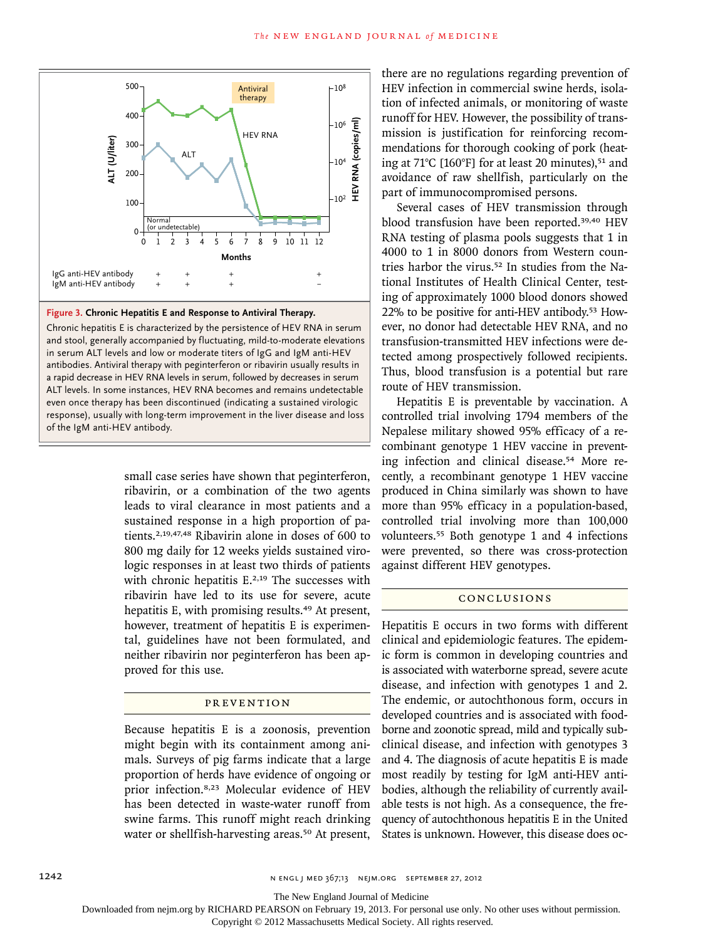

### **Figure 3. Chronic Hepatitis E and Response to Antiviral Therapy.**

Chronic hepatitis E is characterized by the persistence of HEV RNA in serum and stool, generally accompanied by fluctuating, mild-to-moderate elevations in serum ALT levels and low or moderate titers of IgG and IgM anti-HEV antibodies. Antiviral therapy with peginterferon or ribavirin usually results in a rapid decrease in HEV RNA levels in serum, followed by decreases in serum ALT levels. In some instances, HEV RNA becomes and remains undetectable even once therapy has been discontinued (indicating a sustained virologic response), usually with long-term improvement in the liver disease and loss of the IgM anti-HEV antibody.

> small case series have shown that peginterferon, ribavirin, or a combination of the two agents leads to viral clearance in most patients and a sustained response in a high proportion of patients.2,19,47,48 Ribavirin alone in doses of 600 to 800 mg daily for 12 weeks yields sustained virologic responses in at least two thirds of patients with chronic hepatitis E.<sup>2,19</sup> The successes with ribavirin have led to its use for severe, acute hepatitis E, with promising results.<sup>49</sup> At present, however, treatment of hepatitis E is experimental, guidelines have not been formulated, and neither ribavirin nor peginterferon has been approved for this use.

# PR EVENTION

Because hepatitis E is a zoonosis, prevention might begin with its containment among animals. Surveys of pig farms indicate that a large proportion of herds have evidence of ongoing or prior infection.8,23 Molecular evidence of HEV has been detected in waste-water runoff from swine farms. This runoff might reach drinking water or shellfish-harvesting areas.<sup>50</sup> At present, there are no regulations regarding prevention of HEV infection in commercial swine herds, isolation of infected animals, or monitoring of waste runoff for HEV. However, the possibility of transmission is justification for reinforcing recommendations for thorough cooking of pork (heating at 71 $^{\circ}$ C [160 $^{\circ}$ F] for at least 20 minutes),<sup>51</sup> and avoidance of raw shellfish, particularly on the part of immunocompromised persons.

Several cases of HEV transmission through blood transfusion have been reported.39,40 HEV RNA testing of plasma pools suggests that 1 in 4000 to 1 in 8000 donors from Western countries harbor the virus.52 In studies from the National Institutes of Health Clinical Center, testing of approximately 1000 blood donors showed 22% to be positive for anti-HEV antibody.53 However, no donor had detectable HEV RNA, and no transfusion-transmitted HEV infections were detected among prospectively followed recipients. Thus, blood transfusion is a potential but rare route of HEV transmission.

Hepatitis E is preventable by vaccination. A controlled trial involving 1794 members of the Nepalese military showed 95% efficacy of a recombinant genotype 1 HEV vaccine in preventing infection and clinical disease.54 More recently, a recombinant genotype 1 HEV vaccine produced in China similarly was shown to have more than 95% efficacy in a population-based, controlled trial involving more than 100,000 volunteers.55 Both genotype 1 and 4 infections were prevented, so there was cross-protection against different HEV genotypes.

### Conclusions

Hepatitis E occurs in two forms with different clinical and epidemiologic features. The epidemic form is common in developing countries and is associated with waterborne spread, severe acute disease, and infection with genotypes 1 and 2. The endemic, or autochthonous form, occurs in developed countries and is associated with foodborne and zoonotic spread, mild and typically subclinical disease, and infection with genotypes 3 and 4. The diagnosis of acute hepatitis E is made most readily by testing for IgM anti-HEV antibodies, although the reliability of currently available tests is not high. As a consequence, the frequency of autochthonous hepatitis E in the United States is unknown. However, this disease does oc-

1242 **n engl j med 367;13 NEMCO SEPTEMBER 27, 2012** N ENGL J MED 367;13 NEJM.ORG SEPTEMBER 27, 2012

The New England Journal of Medicine

Downloaded from nejm.org by RICHARD PEARSON on February 19, 2013. For personal use only. No other uses without permission.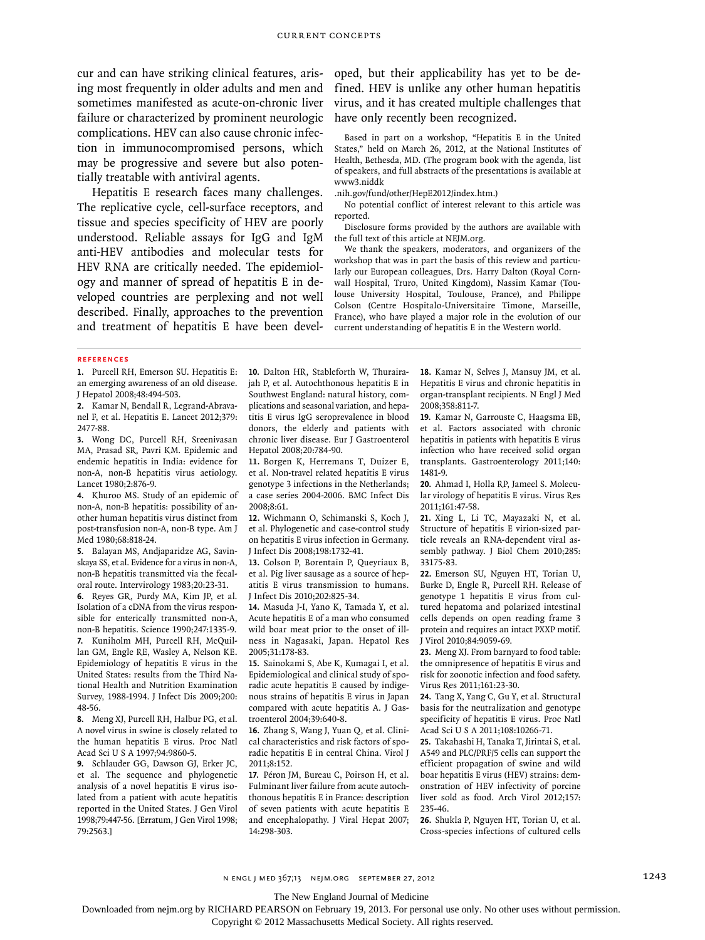cur and can have striking clinical features, arising most frequently in older adults and men and sometimes manifested as acute-on-chronic liver failure or characterized by prominent neurologic complications. HEV can also cause chronic infection in immunocompromised persons, which may be progressive and severe but also potentially treatable with antiviral agents.

Hepatitis E research faces many challenges. The replicative cycle, cell-surface receptors, and tissue and species specificity of HEV are poorly understood. Reliable assays for IgG and IgM anti-HEV antibodies and molecular tests for HEV RNA are critically needed. The epidemiology and manner of spread of hepatitis E in developed countries are perplexing and not well described. Finally, approaches to the prevention and treatment of hepatitis E have been devel-

oped, but their applicability has yet to be defined. HEV is unlike any other human hepatitis virus, and it has created multiple challenges that have only recently been recognized.

Based in part on a workshop, "Hepatitis E in the United States," held on March 26, 2012, at the National Institutes of Health, Bethesda, MD. (The program book with the agenda, list of speakers, and full abstracts of the presentations is available at www3.niddk

.nih.gov/fund/other/HepE2012/index.htm.)

No potential conflict of interest relevant to this article was reported.

Disclosure forms provided by the authors are available with the full text of this article at NEJM.org.

We thank the speakers, moderators, and organizers of the workshop that was in part the basis of this review and particularly our European colleagues, Drs. Harry Dalton (Royal Cornwall Hospital, Truro, United Kingdom), Nassim Kamar (Toulouse University Hospital, Toulouse, France), and Philippe Colson (Centre Hospitalo-Universitaire Timone, Marseille, France), who have played a major role in the evolution of our current understanding of hepatitis E in the Western world.

#### **References**

**1.** Purcell RH, Emerson SU. Hepatitis E: an emerging awareness of an old disease. J Hepatol 2008;48:494-503.

**2.** Kamar N, Bendall R, Legrand-Abravanel F, et al. Hepatitis E. Lancet 2012;379: 2477-88.

**3.** Wong DC, Purcell RH, Sreenivasan MA, Prasad SR, Pavri KM. Epidemic and endemic hepatitis in India: evidence for non-A, non-B hepatitis virus aetiology. Lancet 1980;2:876-9.

**4.** Khuroo MS. Study of an epidemic of non-A, non-B hepatitis: possibility of another human hepatitis virus distinct from post-transfusion non-A, non-B type. Am J .<br>Med 1980:68:818-24.

**5.** Balayan MS, Andjaparidze AG, Savinskaya SS, et al. Evidence for a virus in non-A, non-B hepatitis transmitted via the fecaloral route. Intervirology 1983;20:23-31.

**6.** Reyes GR, Purdy MA, Kim JP, et al. Isolation of a cDNA from the virus responsible for enterically transmitted non-A, non-B hepatitis. Science 1990;247:1335-9. **7.** Kuniholm MH, Purcell RH, McQuillan GM, Engle RE, Wasley A, Nelson KE. Epidemiology of hepatitis E virus in the United States: results from the Third National Health and Nutrition Examination Survey, 1988-1994. J Infect Dis 2009;200: 48-56.

**8.** Meng XJ, Purcell RH, Halbur PG, et al. A novel virus in swine is closely related to the human hepatitis E virus. Proc Natl Acad Sci U S A 1997;94:9860-5.

**9.** Schlauder GG, Dawson GJ, Erker JC, et al. The sequence and phylogenetic analysis of a novel hepatitis E virus isolated from a patient with acute hepatitis reported in the United States. J Gen Virol 1998;79:447-56. [Erratum, J Gen Virol 1998; 79:2563.]

**10.** Dalton HR, Stableforth W, Thurairajah P, et al. Autochthonous hepatitis E in Southwest England: natural history, complications and seasonal variation, and hepatitis E virus IgG seroprevalence in blood donors, the elderly and patients with chronic liver disease. Eur J Gastroenterol Hepatol 2008;20:784-90.

**11.** Borgen K, Herremans T, Duizer E, et al. Non-travel related hepatitis E virus genotype 3 infections in the Netherlands; a case series 2004-2006. BMC Infect Dis 2008;8:61.

**12.** Wichmann O, Schimanski S, Koch J, et al. Phylogenetic and case-control study on hepatitis E virus infection in Germany. J Infect Dis 2008;198:1732-41.

**13.** Colson P, Borentain P, Queyriaux B, et al. Pig liver sausage as a source of hepatitis E virus transmission to humans. J Infect Dis 2010;202:825-34.

**14.** Masuda J-I, Yano K, Tamada Y, et al. Acute hepatitis E of a man who consumed wild boar meat prior to the onset of illness in Nagasaki, Japan. Hepatol Res 2005;31:178-83.

**15.** Sainokami S, Abe K, Kumagai I, et al. Epidemiological and clinical study of sporadic acute hepatitis E caused by indigenous strains of hepatitis E virus in Japan compared with acute hepatitis A. J Gastroenterol 2004;39:640-8.

**16.** Zhang S, Wang J, Yuan Q, et al. Clinical characteristics and risk factors of sporadic hepatitis E in central China. Virol J 2011;8:152.

**17.** Péron JM, Bureau C, Poirson H, et al. Fulminant liver failure from acute autochthonous hepatitis E in France: description of seven patients with acute hepatitis E and encephalopathy. J Viral Hepat 2007; 14:298-303.

**18.** Kamar N, Selves J, Mansuy JM, et al. Hepatitis E virus and chronic hepatitis in organ-transplant recipients. N Engl J Med 2008;358:811-7.

**19.** Kamar N, Garrouste C, Haagsma EB, et al. Factors associated with chronic hepatitis in patients with hepatitis E virus infection who have received solid organ transplants. Gastroenterology 2011;140: 1481-9.

**20.** Ahmad I, Holla RP, Jameel S. Molecular virology of hepatitis E virus. Virus Res 2011;161:47-58.

**21.** Xing L, Li TC, Mayazaki N, et al. Structure of hepatitis E virion-sized particle reveals an RNA-dependent viral assembly pathway. J Biol Chem 2010;285: 33175-83.

**22.** Emerson SU, Nguyen HT, Torian U, Burke D, Engle R, Purcell RH. Release of genotype 1 hepatitis E virus from cultured hepatoma and polarized intestinal cells depends on open reading frame 3 protein and requires an intact PXXP motif. J Virol 2010;84:9059-69.

**23.** Meng XJ. From barnyard to food table: the omnipresence of hepatitis E virus and risk for zoonotic infection and food safety. Virus Res 2011;161:23-30.

**24.** Tang X, Yang C, Gu Y, et al. Structural basis for the neutralization and genotype specificity of hepatitis E virus. Proc Natl Acad Sci U S A 2011;108:10266-71.

**25.** Takahashi H, Tanaka T, Jirintai S, et al. A549 and PLC/PRF/5 cells can support the efficient propagation of swine and wild boar hepatitis E virus (HEV) strains: demonstration of HEV infectivity of porcine liver sold as food. Arch Virol 2012;157: 235-46.

**26.** Shukla P, Nguyen HT, Torian U, et al. Cross-species infections of cultured cells

n engl j med 367;13 nejm.org september 27, 2012 1243

The New England Journal of Medicine

Downloaded from nejm.org by RICHARD PEARSON on February 19, 2013. For personal use only. No other uses without permission.